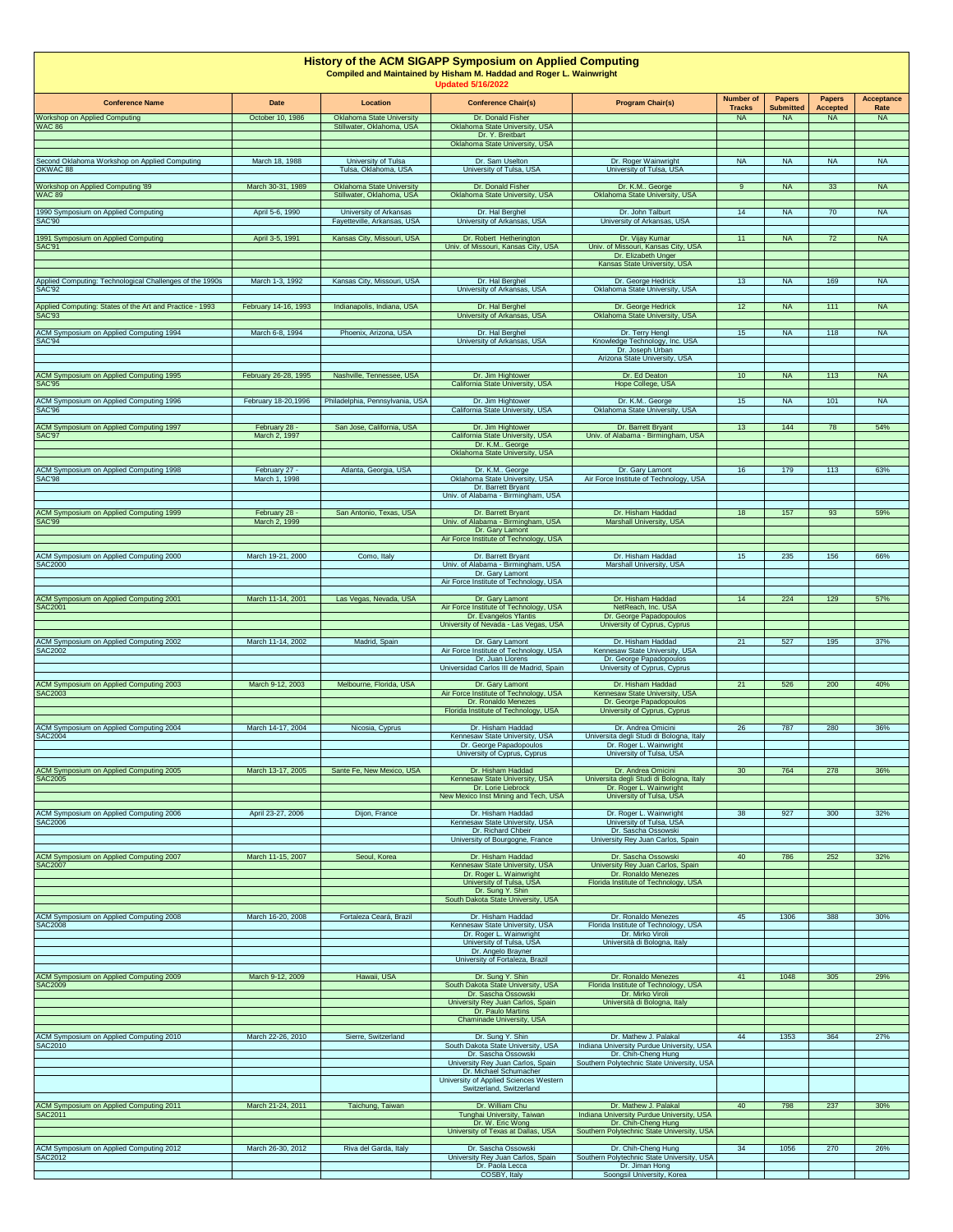| <b>History of the ACM SIGAPP Symposium on Applied Computing</b><br>Compiled and Maintained by Hisham M. Haddad and Roger L. Wainwright<br><b>Updated 5/16/2022</b> |                                |                                                               |                                                                                                            |                                                                                                                 |                                   |                                   |                                  |                           |  |  |
|--------------------------------------------------------------------------------------------------------------------------------------------------------------------|--------------------------------|---------------------------------------------------------------|------------------------------------------------------------------------------------------------------------|-----------------------------------------------------------------------------------------------------------------|-----------------------------------|-----------------------------------|----------------------------------|---------------------------|--|--|
| <b>Conference Name</b>                                                                                                                                             | Date                           | <b>Location</b>                                               | <b>Conference Chair(s)</b>                                                                                 | <b>Program Chair(s)</b>                                                                                         | <b>Number of</b><br><b>Tracks</b> | <b>Papers</b><br><b>Submitted</b> | <b>Papers</b><br><b>Accepted</b> | <b>Acceptance</b><br>Rate |  |  |
| Workshop on Applied Computing<br><b>WAC 86</b>                                                                                                                     | October 10, 1986               | <b>Oklahoma State University</b><br>Stillwater, Oklahoma, USA | Dr. Donald Fisher<br>Oklahoma State University, USA<br>Dr. Y. Breitbart                                    |                                                                                                                 | <b>NA</b>                         | <b>NA</b>                         | <b>NA</b>                        | <b>NA</b>                 |  |  |
| Second Oklahoma Workshop on Applied Computing<br>OKWAC 88                                                                                                          | March 18, 1988                 | University of Tulsa<br>Tulsa, Oklahoma, USA                   | Oklahoma State University, USA<br>Dr. Sam Uselton<br>University of Tulsa, USA                              | Dr. Roger Wainwright<br>University of Tulsa, USA                                                                | <b>NA</b>                         | <b>NA</b>                         | <b>NA</b>                        | <b>NA</b>                 |  |  |
| Workshop on Applied Computing '89<br><b>WAC 89</b>                                                                                                                 | March 30-31, 1989              | <b>Oklahoma State University</b><br>Stillwater, Oklahoma, USA | Dr. Donald Fisher<br>Oklahoma State University, USA                                                        | Dr. K.M George<br>Oklahoma State University, USA                                                                | 9                                 | <b>NA</b>                         | 33                               | <b>NA</b>                 |  |  |
| 1990 Symposium on Applied Computing                                                                                                                                | April 5-6, 1990                | University of Arkansas                                        | Dr. Hal Berghel                                                                                            | Dr. John Talburt                                                                                                | 14                                | <b>NA</b>                         | 70                               | <b>NA</b>                 |  |  |
| <b>SAC'90</b><br>1991 Symposium on Applied Computing                                                                                                               | April 3-5, 1991                | Fayetteville, Arkansas, USA<br>Kansas City, Missouri, USA     | University of Arkansas, USA<br>Dr. Robert Hetherington                                                     | University of Arkansas, USA<br>Dr. Vijay Kumar                                                                  | 11                                | <b>NA</b>                         | 72                               | <b>NA</b>                 |  |  |
| SAC'91                                                                                                                                                             |                                |                                                               | Univ. of Missouri, Kansas City, USA                                                                        | Univ. of Missouri, Kansas City, USA<br>Dr. Elizabeth Unger                                                      |                                   |                                   |                                  |                           |  |  |
| Applied Computing: Technological Challenges of the 1990s                                                                                                           | March 1-3, 1992                | Kansas City, Missouri, USA                                    | Dr. Hal Berghel                                                                                            | Kansas State University, USA<br>Dr. George Hedrick                                                              | 13                                | <b>NA</b>                         | 169                              | <b>NA</b>                 |  |  |
| <b>SAC'92</b>                                                                                                                                                      |                                |                                                               | University of Arkansas, USA                                                                                | Oklahoma State University, USA                                                                                  |                                   |                                   |                                  |                           |  |  |
| Applied Computing: States of the Art and Practice - 1993<br><b>SAC'93</b>                                                                                          | February 14-16, 1993           | Indianapolis, Indiana, USA                                    | Dr. Hal Berghel<br>University of Arkansas, USA                                                             | Dr. George Hedrick<br>Oklahoma State University, USA                                                            | 12                                | <b>NA</b>                         | 111                              | <b>NA</b>                 |  |  |
| ACM Symposium on Applied Computing 1994<br>SAC'94                                                                                                                  | March 6-8, 1994                | Phoenix, Arizona, USA                                         | Dr. Hal Berghel<br>University of Arkansas, USA                                                             | Dr. Terry Hengl<br>Knowledge Technology, Inc. USA                                                               | 15                                | <b>NA</b>                         | 118                              | <b>NA</b>                 |  |  |
|                                                                                                                                                                    |                                |                                                               |                                                                                                            | Dr. Joseph Urban<br>Arizona State University, USA                                                               |                                   |                                   |                                  |                           |  |  |
| ACM Symposium on Applied Computing 1995<br><b>SAC'95</b>                                                                                                           | February 26-28, 1995           | Nashville, Tennessee, USA                                     | Dr. Jim Hightower<br>California State University, USA                                                      | Dr. Ed Deaton<br>Hope College, USA                                                                              | 10                                | <b>NA</b>                         | 113                              | <b>NA</b>                 |  |  |
| ACM Symposium on Applied Computing 1996<br><b>SAC'96</b>                                                                                                           | February 18-20,1996            | Philadelphia, Pennsylvania, USA                               | Dr. Jim Hightower<br>California State University, USA                                                      | Dr. K.M George<br>Oklahoma State University, USA                                                                | 15                                | <b>NA</b>                         | 101                              | <b>NA</b>                 |  |  |
| ACM Symposium on Applied Computing 1997<br>SAC'97                                                                                                                  | February 28<br>March 2, 1997   | San Jose, California, USA                                     | Dr. Jim Hightower<br>California State University, USA                                                      | Dr. Barrett Bryant<br>Univ. of Alabama - Birmingham, USA                                                        | 13                                | 144                               | 78                               | 54%                       |  |  |
|                                                                                                                                                                    |                                |                                                               | Dr. K.M George<br>Oklahoma State University, USA                                                           |                                                                                                                 |                                   |                                   |                                  |                           |  |  |
| ACM Symposium on Applied Computing 1998<br>SAC'98                                                                                                                  | February 27 -<br>March 1, 1998 | Atlanta, Georgia, USA                                         | Dr. K.M George<br>Oklahoma State University, USA                                                           | Dr. Gary Lamont<br>Air Force Institute of Technology, USA                                                       | 16                                | 179                               | 113                              | 63%                       |  |  |
|                                                                                                                                                                    |                                |                                                               | Dr. Barrett Bryant<br>Univ. of Alabama - Birmingham, USA                                                   |                                                                                                                 |                                   |                                   |                                  |                           |  |  |
| ACM Symposium on Applied Computing 1999<br><b>SAC'99</b>                                                                                                           | February 28 -<br>March 2, 1999 | San Antonio, Texas, USA                                       | Dr. Barrett Bryant<br>Univ. of Alabama - Birmingham, USA                                                   | Dr. Hisham Haddad<br>Marshall University, USA                                                                   | 18                                | 157                               | 93                               | 59%                       |  |  |
|                                                                                                                                                                    |                                |                                                               | Dr. Gary Lamont<br>Air Force Institute of Technology, USA                                                  |                                                                                                                 |                                   |                                   |                                  |                           |  |  |
| ACM Symposium on Applied Computing 2000<br><b>SAC2000</b>                                                                                                          | March 19-21, 2000              | Como, Italy                                                   | Dr. Barrett Bryant<br>Univ. of Alabama - Birmingham, USA                                                   | Dr. Hisham Haddad<br>Marshall University, USA                                                                   | 15                                | 235                               | 156                              | 66%                       |  |  |
|                                                                                                                                                                    |                                |                                                               | Dr. Gary Lamont<br>Air Force Institute of Technology, USA                                                  |                                                                                                                 |                                   |                                   |                                  |                           |  |  |
| ACM Symposium on Applied Computing 2001<br>SAC2001                                                                                                                 | March 11-14, 2001              | Las Vegas, Nevada, USA                                        | Dr. Gary Lamont<br>Air Force Institute of Technology, USA                                                  | Dr. Hisham Haddad<br>NetReach, Inc. USA                                                                         | 14                                | 224                               | 129                              | 57%                       |  |  |
|                                                                                                                                                                    |                                |                                                               | Dr. Evangelos Yfantis<br>University of Nevada - Las Vegas, USA                                             | Dr. George Papadopoulos<br>University of Cyprus, Cyprus                                                         |                                   |                                   |                                  |                           |  |  |
| ACM Symposium on Applied Computing 2002<br><b>SAC2002</b>                                                                                                          | March 11-14, 2002              | Madrid, Spain                                                 | Dr. Gary Lamont<br>Air Force Institute of Technology, USA<br>Dr. Juan Llorens                              | Dr. Hisham Haddad<br>Kennesaw State University, USA<br>Dr. George Papadopoulos<br>University of Cyprus, Cyprus  | 21                                | 527                               | 195                              | 37%                       |  |  |
| ACM Symposium on Applied Computing 2003                                                                                                                            | March 9-12, 2003               | Melbourne, Florida, USA                                       | Universidad Carlos III de Madrid, Spain<br>Dr. Gary Lamont                                                 | Dr. Hisham Haddad                                                                                               | 21                                | 526                               | 200                              | 40%                       |  |  |
| SAC2003                                                                                                                                                            |                                |                                                               | Air Force Institute of Technology, USA<br>Dr. Ronaldo Menezes<br>Florida Institute of Technology, USA      | Kennesaw State University, USA<br>Dr. George Papadopoulos                                                       |                                   |                                   |                                  |                           |  |  |
| ACM Symposium on Applied Computing 2004                                                                                                                            | March 14-17, 2004              | Nicosia, Cyprus                                               | Dr. Hisham Haddad                                                                                          | University of Cyprus, Cyprus<br>Dr. Andrea Omicini                                                              | 26                                | 787                               | 280                              | 36%                       |  |  |
| <b>SAC2004</b>                                                                                                                                                     |                                |                                                               | Kennesaw State University, USA<br>Dr. George Papadopoulos<br>University of Cyprus, Cyprus                  | Universita degli Studi di Bologna, Italy<br>Dr. Roger L. Wainwright<br>University of Tulsa, USA                 |                                   |                                   |                                  |                           |  |  |
| ACM Symposium on Applied Computing 2005                                                                                                                            | March 13-17, 2005              | Sante Fe, New Mexico, USA                                     | Dr. Hisham Haddad                                                                                          | Dr. Andrea Omicini                                                                                              | 30                                | 764                               | 278                              | 36%                       |  |  |
| <b>SAC2005</b>                                                                                                                                                     |                                |                                                               | Kennesaw State University, USA<br>Dr. Lorie Liebrock<br>New Mexico Inst Mining and Tech, USA               | Universita degli Studi di Bologna, Italy<br>Dr. Roger L. Wainwright<br>University of Tulsa, USA                 |                                   |                                   |                                  |                           |  |  |
| ACM Symposium on Applied Computing 2006                                                                                                                            | April 23-27, 2006              | Dijon, France                                                 | Dr. Hisham Haddad                                                                                          | Dr. Roger L. Wainwright                                                                                         | 38                                | 927                               | 300                              | 32%                       |  |  |
| <b>SAC2006</b>                                                                                                                                                     |                                |                                                               | Kennesaw State University, USA<br>Dr. Richard Chbeir<br>University of Bourgogne, France                    | University of Tulsa, USA<br>Dr. Sascha Ossowski<br>University Rey Juan Carlos, Spain                            |                                   |                                   |                                  |                           |  |  |
| ACM Symposium on Applied Computing 2007<br><b>SAC2007</b>                                                                                                          | March 11-15, 2007              | Seoul, Korea                                                  | Dr. Hisham Haddad<br>Kennesaw State University, USA                                                        | Dr. Sascha Ossowski<br>University Rey Juan Carlos, Spain                                                        | 40                                | 786                               | 252                              | 32%                       |  |  |
|                                                                                                                                                                    |                                |                                                               | Dr. Roger L. Wainwright<br>University of Tulsa, USA                                                        | Dr. Ronaldo Menezes<br>Florida Institute of Technology, USA                                                     |                                   |                                   |                                  |                           |  |  |
|                                                                                                                                                                    |                                |                                                               | Dr. Sung Y. Shin<br>South Dakota State University, USA                                                     |                                                                                                                 |                                   |                                   |                                  |                           |  |  |
| ACM Symposium on Applied Computing 2008<br><b>SAC2008</b>                                                                                                          | March 16-20, 2008              | Fortaleza Ceará, Brazil                                       | Dr. Hisham Haddad<br>Kennesaw State University, USA<br>Dr. Roger L. Wainwright<br>University of Tulsa, USA | Dr. Ronaldo Menezes<br>Florida Institute of Technology, USA<br>Dr. Mirko Viroli<br>Università di Bologna, Italy | 45                                | 1306                              | 388                              | 30%                       |  |  |
|                                                                                                                                                                    |                                |                                                               | Dr. Angelo Brayner<br>University of Fortaleza, Brazil                                                      |                                                                                                                 |                                   |                                   |                                  |                           |  |  |
| ACM Symposium on Applied Computing 2009<br><b>SAC2009</b>                                                                                                          | March 9-12, 2009               | Hawaii, USA                                                   | Dr. Sung Y. Shin<br>South Dakota State University, USA                                                     | Dr. Ronaldo Menezes<br>Florida Institute of Technology, USA                                                     | 41                                | 1048                              | 305                              | 29%                       |  |  |
|                                                                                                                                                                    |                                |                                                               | Dr. Sascha Ossowski<br>University Rey Juan Carlos, Spain                                                   | Dr. Mirko Viroli<br>Università di Bologna, Italy                                                                |                                   |                                   |                                  |                           |  |  |
|                                                                                                                                                                    |                                |                                                               | Dr. Paulo Martins<br>Chaminade University, USA                                                             |                                                                                                                 |                                   |                                   |                                  |                           |  |  |
| ACM Symposium on Applied Computing 2010<br><b>SAC2010</b>                                                                                                          | March 22-26, 2010              | Sierre, Switzerland                                           | Dr. Sung Y. Shin<br>South Dakota State University, USA                                                     | Dr. Mathew J. Palakal<br>Indiana University Purdue University, USA                                              | 44                                | 1353                              | 364                              | 27%                       |  |  |
|                                                                                                                                                                    |                                |                                                               | Dr. Sascha Ossowski<br>University Rey Juan Carlos, Spain<br>Dr. Michael Schumacher                         | Dr. Chih-Cheng Hung<br>Southern Polytechnic State University, USA                                               |                                   |                                   |                                  |                           |  |  |
|                                                                                                                                                                    |                                |                                                               | University of Applied Sciences Western<br>Switzerland, Switzerland                                         |                                                                                                                 |                                   |                                   |                                  |                           |  |  |
| ACM Symposium on Applied Computing 2011                                                                                                                            | March 21-24, 2011              | Taichung, Taiwan                                              | Dr. William Chu                                                                                            | Dr. Mathew J. Palakal                                                                                           | 40                                | 798                               | 237                              | 30%                       |  |  |
| <b>SAC2011</b>                                                                                                                                                     |                                |                                                               | Tunghai University, Taiwan<br>Dr. W. Eric Wong<br>University of Texas at Dallas, USA                       | Indiana University Purdue University, USA<br>Dr. Chih-Cheng Hung<br>Southern Polytechnic State University, USA  |                                   |                                   |                                  |                           |  |  |
| ACM Symposium on Applied Computing 2012<br>SAC2012                                                                                                                 | March 26-30, 2012              | Riva del Garda, Italy                                         | Dr. Sascha Ossowski<br>University Rey Juan Carlos, Spain                                                   | Dr. Chih-Cheng Hung<br>Southern Polytechnic State University, USA                                               | 34                                | 1056                              | 270                              | 26%                       |  |  |
|                                                                                                                                                                    |                                |                                                               | Dr. Paola Lecca<br>COSBY, Italy                                                                            | Dr. Jiman Hong<br>Soongsil University, Korea                                                                    |                                   |                                   |                                  |                           |  |  |